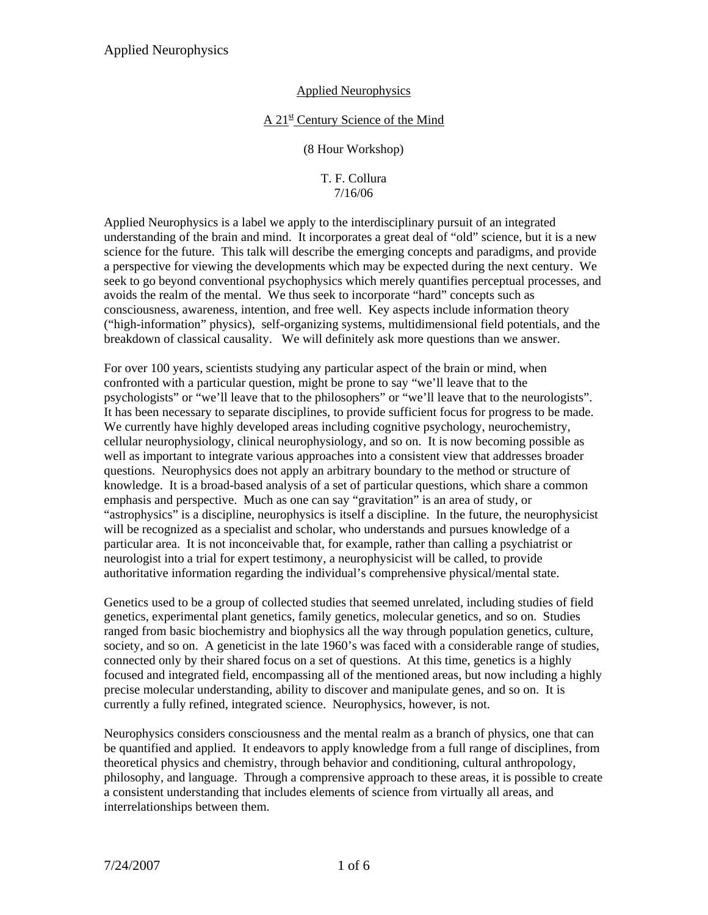### $A$  21<sup>st</sup> Century Science of the Mind

(8 Hour Workshop)

### T. F. Collura 7/16/06

Applied Neurophysics is a label we apply to the interdisciplinary pursuit of an integrated understanding of the brain and mind. It incorporates a great deal of "old" science, but it is a new science for the future. This talk will describe the emerging concepts and paradigms, and provide a perspective for viewing the developments which may be expected during the next century. We seek to go beyond conventional psychophysics which merely quantifies perceptual processes, and avoids the realm of the mental. We thus seek to incorporate "hard" concepts such as consciousness, awareness, intention, and free well. Key aspects include information theory ("high-information" physics), self-organizing systems, multidimensional field potentials, and the breakdown of classical causality. We will definitely ask more questions than we answer.

For over 100 years, scientists studying any particular aspect of the brain or mind, when confronted with a particular question, might be prone to say "we'll leave that to the psychologists" or "we'll leave that to the philosophers" or "we'll leave that to the neurologists". It has been necessary to separate disciplines, to provide sufficient focus for progress to be made. We currently have highly developed areas including cognitive psychology, neurochemistry, cellular neurophysiology, clinical neurophysiology, and so on. It is now becoming possible as well as important to integrate various approaches into a consistent view that addresses broader questions. Neurophysics does not apply an arbitrary boundary to the method or structure of knowledge. It is a broad-based analysis of a set of particular questions, which share a common emphasis and perspective. Much as one can say "gravitation" is an area of study, or "astrophysics" is a discipline, neurophysics is itself a discipline. In the future, the neurophysicist will be recognized as a specialist and scholar, who understands and pursues knowledge of a particular area. It is not inconceivable that, for example, rather than calling a psychiatrist or neurologist into a trial for expert testimony, a neurophysicist will be called, to provide authoritative information regarding the individual's comprehensive physical/mental state.

Genetics used to be a group of collected studies that seemed unrelated, including studies of field genetics, experimental plant genetics, family genetics, molecular genetics, and so on. Studies ranged from basic biochemistry and biophysics all the way through population genetics, culture, society, and so on. A geneticist in the late 1960's was faced with a considerable range of studies, connected only by their shared focus on a set of questions. At this time, genetics is a highly focused and integrated field, encompassing all of the mentioned areas, but now including a highly precise molecular understanding, ability to discover and manipulate genes, and so on. It is currently a fully refined, integrated science. Neurophysics, however, is not.

Neurophysics considers consciousness and the mental realm as a branch of physics, one that can be quantified and applied. It endeavors to apply knowledge from a full range of disciplines, from theoretical physics and chemistry, through behavior and conditioning, cultural anthropology, philosophy, and language. Through a comprensive approach to these areas, it is possible to create a consistent understanding that includes elements of science from virtually all areas, and interrelationships between them.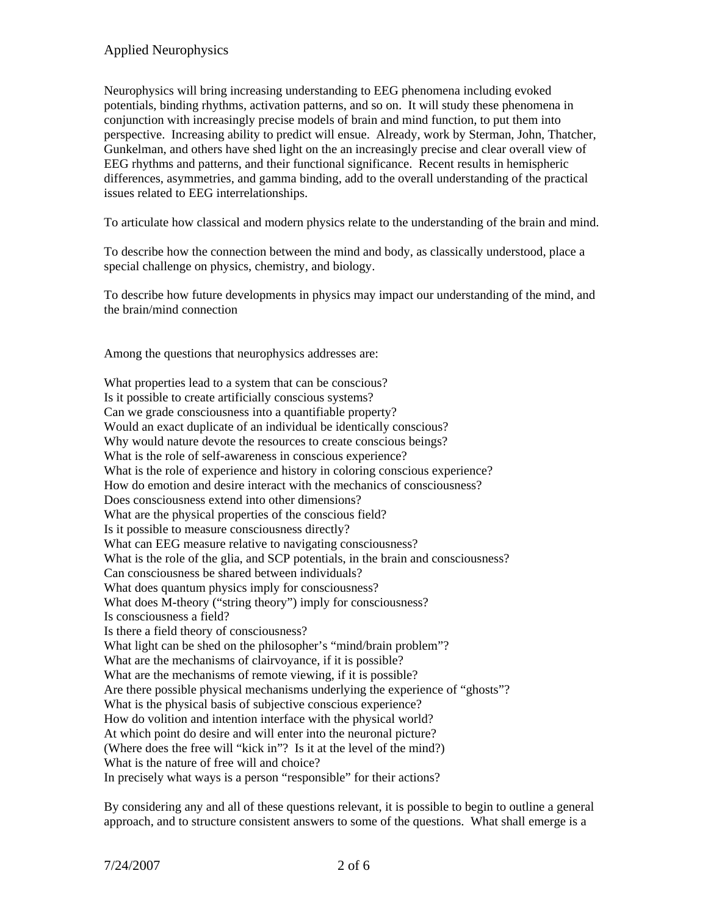Neurophysics will bring increasing understanding to EEG phenomena including evoked potentials, binding rhythms, activation patterns, and so on. It will study these phenomena in conjunction with increasingly precise models of brain and mind function, to put them into perspective. Increasing ability to predict will ensue. Already, work by Sterman, John, Thatcher, Gunkelman, and others have shed light on the an increasingly precise and clear overall view of EEG rhythms and patterns, and their functional significance. Recent results in hemispheric differences, asymmetries, and gamma binding, add to the overall understanding of the practical issues related to EEG interrelationships.

To articulate how classical and modern physics relate to the understanding of the brain and mind.

To describe how the connection between the mind and body, as classically understood, place a special challenge on physics, chemistry, and biology.

To describe how future developments in physics may impact our understanding of the mind, and the brain/mind connection

Among the questions that neurophysics addresses are:

What properties lead to a system that can be conscious? Is it possible to create artificially conscious systems? Can we grade consciousness into a quantifiable property? Would an exact duplicate of an individual be identically conscious? Why would nature devote the resources to create conscious beings? What is the role of self-awareness in conscious experience? What is the role of experience and history in coloring conscious experience? How do emotion and desire interact with the mechanics of consciousness? Does consciousness extend into other dimensions? What are the physical properties of the conscious field? Is it possible to measure consciousness directly? What can EEG measure relative to navigating consciousness? What is the role of the glia, and SCP potentials, in the brain and consciousness? Can consciousness be shared between individuals? What does quantum physics imply for consciousness? What does M-theory ("string theory") imply for consciousness? Is consciousness a field? Is there a field theory of consciousness? What light can be shed on the philosopher's "mind/brain problem"? What are the mechanisms of clairvoyance, if it is possible? What are the mechanisms of remote viewing, if it is possible? Are there possible physical mechanisms underlying the experience of "ghosts"? What is the physical basis of subjective conscious experience? How do volition and intention interface with the physical world? At which point do desire and will enter into the neuronal picture? (Where does the free will "kick in"? Is it at the level of the mind?) What is the nature of free will and choice? In precisely what ways is a person "responsible" for their actions?

By considering any and all of these questions relevant, it is possible to begin to outline a general approach, and to structure consistent answers to some of the questions. What shall emerge is a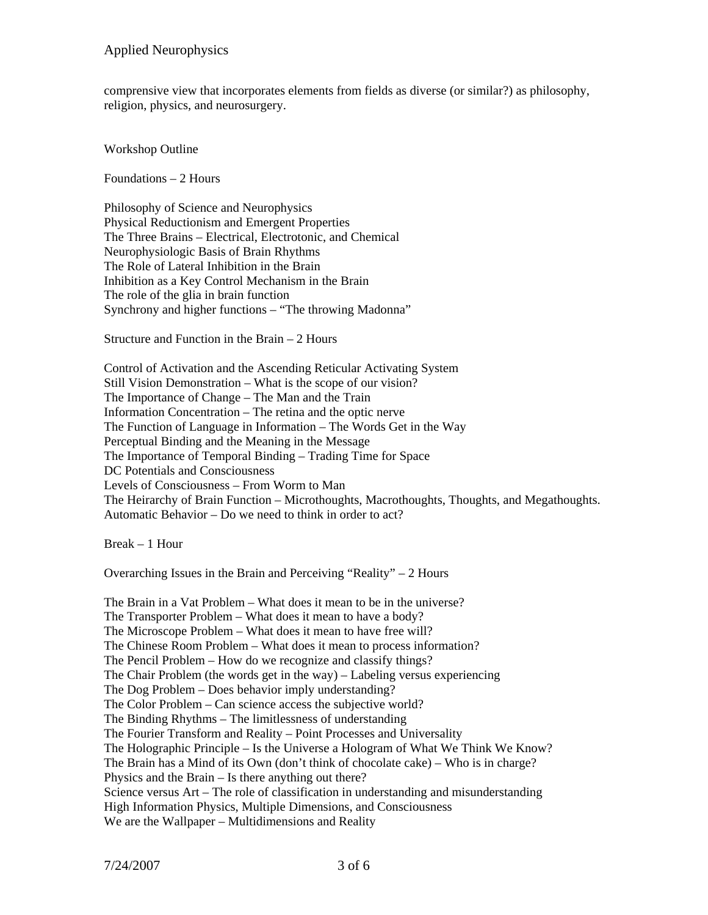comprensive view that incorporates elements from fields as diverse (or similar?) as philosophy, religion, physics, and neurosurgery.

Workshop Outline

Foundations – 2 Hours

Philosophy of Science and Neurophysics Physical Reductionism and Emergent Properties The Three Brains – Electrical, Electrotonic, and Chemical Neurophysiologic Basis of Brain Rhythms The Role of Lateral Inhibition in the Brain Inhibition as a Key Control Mechanism in the Brain The role of the glia in brain function Synchrony and higher functions – "The throwing Madonna"

Structure and Function in the Brain – 2 Hours

Control of Activation and the Ascending Reticular Activating System Still Vision Demonstration – What is the scope of our vision? The Importance of Change – The Man and the Train Information Concentration – The retina and the optic nerve The Function of Language in Information – The Words Get in the Way Perceptual Binding and the Meaning in the Message The Importance of Temporal Binding – Trading Time for Space DC Potentials and Consciousness Levels of Consciousness – From Worm to Man The Heirarchy of Brain Function – Microthoughts, Macrothoughts, Thoughts, and Megathoughts. Automatic Behavior – Do we need to think in order to act?

Break – 1 Hour

Overarching Issues in the Brain and Perceiving "Reality" – 2 Hours

The Brain in a Vat Problem – What does it mean to be in the universe? The Transporter Problem – What does it mean to have a body? The Microscope Problem – What does it mean to have free will? The Chinese Room Problem – What does it mean to process information? The Pencil Problem – How do we recognize and classify things? The Chair Problem (the words get in the way) – Labeling versus experiencing The Dog Problem – Does behavior imply understanding? The Color Problem – Can science access the subjective world? The Binding Rhythms – The limitlessness of understanding The Fourier Transform and Reality – Point Processes and Universality The Holographic Principle – Is the Universe a Hologram of What We Think We Know? The Brain has a Mind of its Own (don't think of chocolate cake) – Who is in charge? Physics and the Brain – Is there anything out there? Science versus Art – The role of classification in understanding and misunderstanding High Information Physics, Multiple Dimensions, and Consciousness We are the Wallpaper – Multidimensions and Reality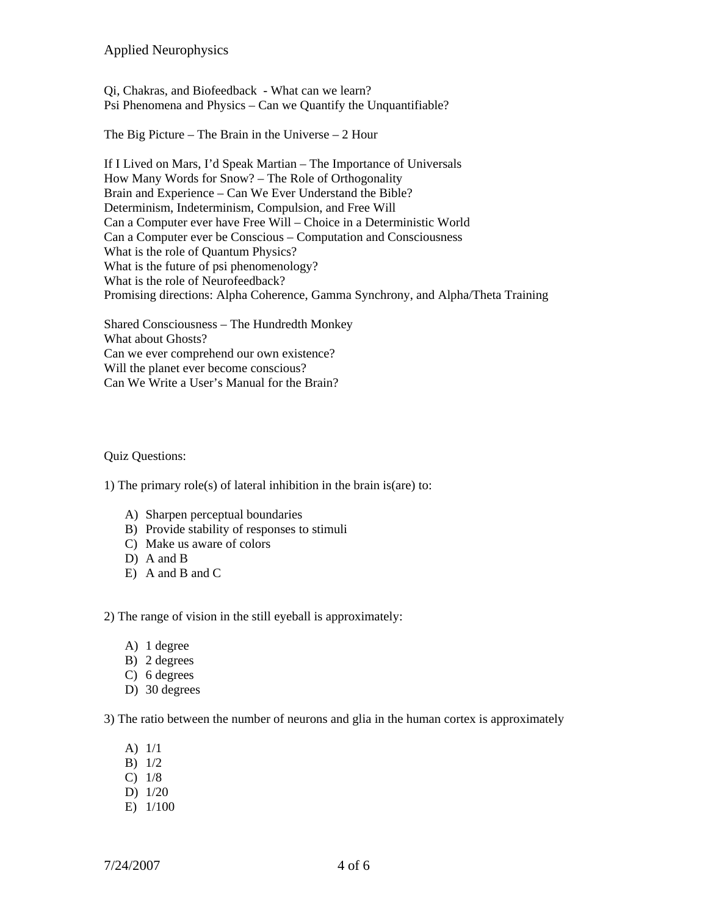Qi, Chakras, and Biofeedback - What can we learn? Psi Phenomena and Physics – Can we Quantify the Unquantifiable?

The Big Picture – The Brain in the Universe – 2 Hour

If I Lived on Mars, I'd Speak Martian – The Importance of Universals How Many Words for Snow? – The Role of Orthogonality Brain and Experience – Can We Ever Understand the Bible? Determinism, Indeterminism, Compulsion, and Free Will Can a Computer ever have Free Will – Choice in a Deterministic World Can a Computer ever be Conscious – Computation and Consciousness What is the role of Quantum Physics? What is the future of psi phenomenology? What is the role of Neurofeedback? Promising directions: Alpha Coherence, Gamma Synchrony, and Alpha/Theta Training

Shared Consciousness – The Hundredth Monkey What about Ghosts? Can we ever comprehend our own existence? Will the planet ever become conscious? Can We Write a User's Manual for the Brain?

#### Quiz Questions:

1) The primary role(s) of lateral inhibition in the brain is(are) to:

- A) Sharpen perceptual boundaries
- B) Provide stability of responses to stimuli
- C) Make us aware of colors
- D) A and B
- E) A and B and C

2) The range of vision in the still eyeball is approximately:

- A) 1 degree
- B) 2 degrees
- C) 6 degrees
- D) 30 degrees

3) The ratio between the number of neurons and glia in the human cortex is approximately

- A) 1/1
- B) 1/2
- C) 1/8
- D) 1/20
- E) 1/100

 $7/24/2007$  4 of 6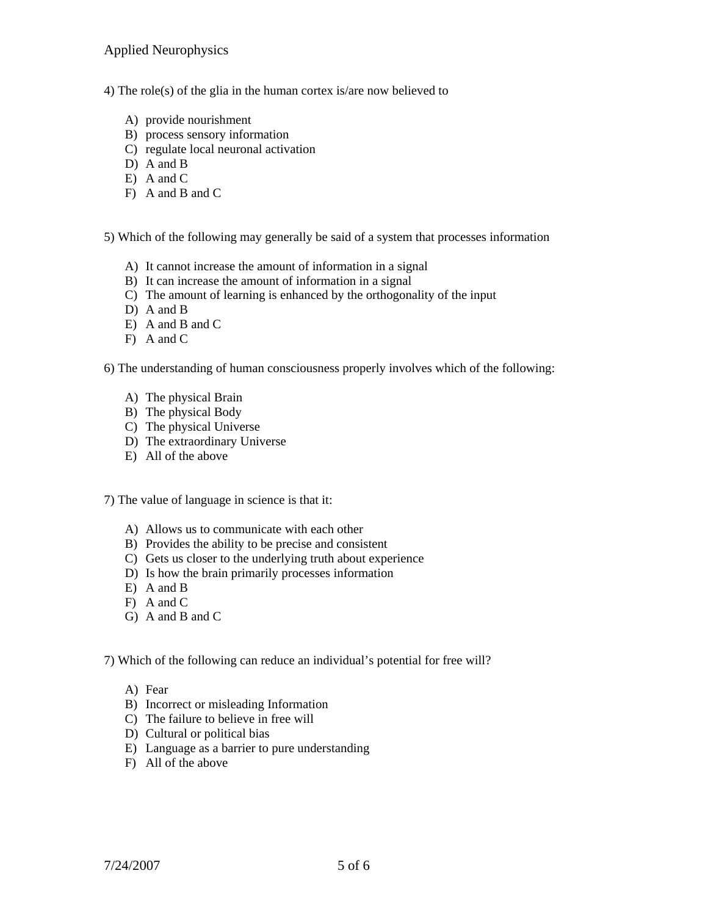- 4) The role(s) of the glia in the human cortex is/are now believed to
	- A) provide nourishment
	- B) process sensory information
	- C) regulate local neuronal activation
	- D) A and B
	- E) A and C
	- F) A and B and C

5) Which of the following may generally be said of a system that processes information

- A) It cannot increase the amount of information in a signal
- B) It can increase the amount of information in a signal
- C) The amount of learning is enhanced by the orthogonality of the input
- D) A and B
- E) A and B and C
- F) A and C

6) The understanding of human consciousness properly involves which of the following:

- A) The physical Brain
- B) The physical Body
- C) The physical Universe
- D) The extraordinary Universe
- E) All of the above

7) The value of language in science is that it:

- A) Allows us to communicate with each other
- B) Provides the ability to be precise and consistent
- C) Gets us closer to the underlying truth about experience
- D) Is how the brain primarily processes information
- E) A and B
- F) A and C
- G) A and B and C

7) Which of the following can reduce an individual's potential for free will?

- A) Fear
- B) Incorrect or misleading Information
- C) The failure to believe in free will
- D) Cultural or political bias
- E) Language as a barrier to pure understanding
- F) All of the above